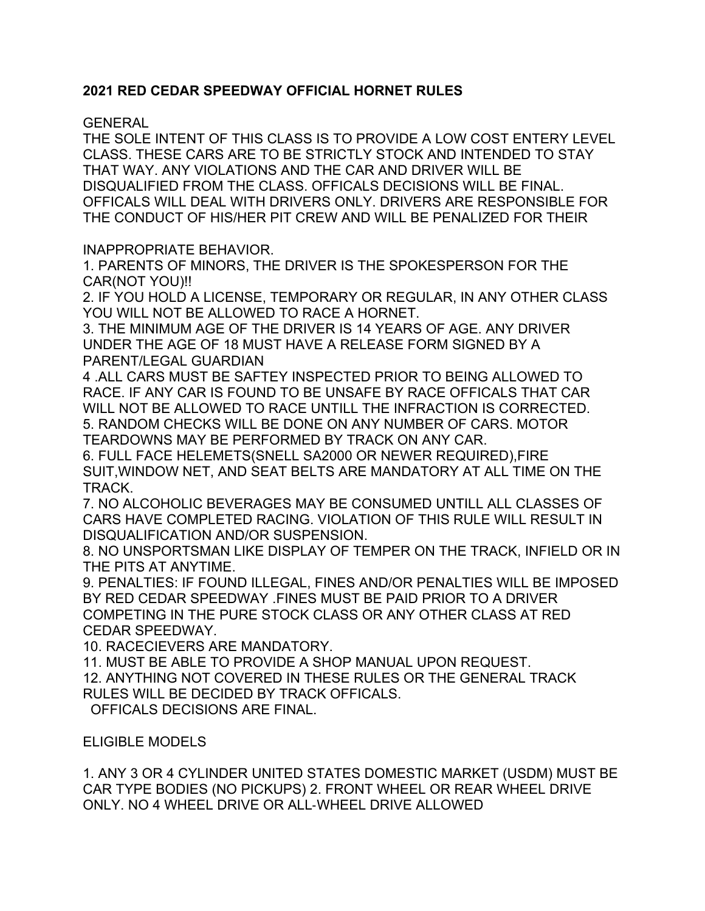# **2021 RED CEDAR SPEEDWAY OFFICIAL HORNET RULES**

## GENERAL

THE SOLE INTENT OF THIS CLASS IS TO PROVIDE A LOW COST ENTERY LEVEL CLASS. THESE CARS ARE TO BE STRICTLY STOCK AND INTENDED TO STAY THAT WAY. ANY VIOLATIONS AND THE CAR AND DRIVER WILL BE DISQUALIFIED FROM THE CLASS. OFFICALS DECISIONS WILL BE FINAL. OFFICALS WILL DEAL WITH DRIVERS ONLY. DRIVERS ARE RESPONSIBLE FOR THE CONDUCT OF HIS/HER PIT CREW AND WILL BE PENALIZED FOR THEIR

## INAPPROPRIATE BEHAVIOR.

1. PARENTS OF MINORS, THE DRIVER IS THE SPOKESPERSON FOR THE CAR(NOT YOU)!!

2. IF YOU HOLD A LICENSE, TEMPORARY OR REGULAR, IN ANY OTHER CLASS YOU WILL NOT BE ALLOWED TO RACE A HORNET.

3. THE MINIMUM AGE OF THE DRIVER IS 14 YEARS OF AGE. ANY DRIVER UNDER THE AGE OF 18 MUST HAVE A RELEASE FORM SIGNED BY A PARENT/LEGAL GUARDIAN

4 .ALL CARS MUST BE SAFTEY INSPECTED PRIOR TO BEING ALLOWED TO RACE. IF ANY CAR IS FOUND TO BE UNSAFE BY RACE OFFICALS THAT CAR WILL NOT BE ALLOWED TO RACE UNTILL THE INFRACTION IS CORRECTED. 5. RANDOM CHECKS WILL BE DONE ON ANY NUMBER OF CARS. MOTOR TEARDOWNS MAY BE PERFORMED BY TRACK ON ANY CAR.

6. FULL FACE HELEMETS(SNELL SA2000 OR NEWER REQUIRED),FIRE SUIT,WINDOW NET, AND SEAT BELTS ARE MANDATORY AT ALL TIME ON THE TRACK.

7. NO ALCOHOLIC BEVERAGES MAY BE CONSUMED UNTILL ALL CLASSES OF CARS HAVE COMPLETED RACING. VIOLATION OF THIS RULE WILL RESULT IN DISQUALIFICATION AND/OR SUSPENSION.

8. NO UNSPORTSMAN LIKE DISPLAY OF TEMPER ON THE TRACK, INFIELD OR IN THE PITS AT ANYTIME.

9. PENALTIES: IF FOUND ILLEGAL, FINES AND/OR PENALTIES WILL BE IMPOSED BY RED CEDAR SPEEDWAY .FINES MUST BE PAID PRIOR TO A DRIVER COMPETING IN THE PURE STOCK CLASS OR ANY OTHER CLASS AT RED CEDAR SPEEDWAY.

10. RACECIEVERS ARE MANDATORY.

11. MUST BE ABLE TO PROVIDE A SHOP MANUAL UPON REQUEST.

12. ANYTHING NOT COVERED IN THESE RULES OR THE GENERAL TRACK RULES WILL BE DECIDED BY TRACK OFFICALS.

OFFICALS DECISIONS ARE FINAL.

# ELIGIBLE MODELS

1. ANY 3 OR 4 CYLINDER UNITED STATES DOMESTIC MARKET (USDM) MUST BE CAR TYPE BODIES (NO PICKUPS) 2. FRONT WHEEL OR REAR WHEEL DRIVE ONLY. NO 4 WHEEL DRIVE OR ALL-WHEEL DRIVE ALLOWED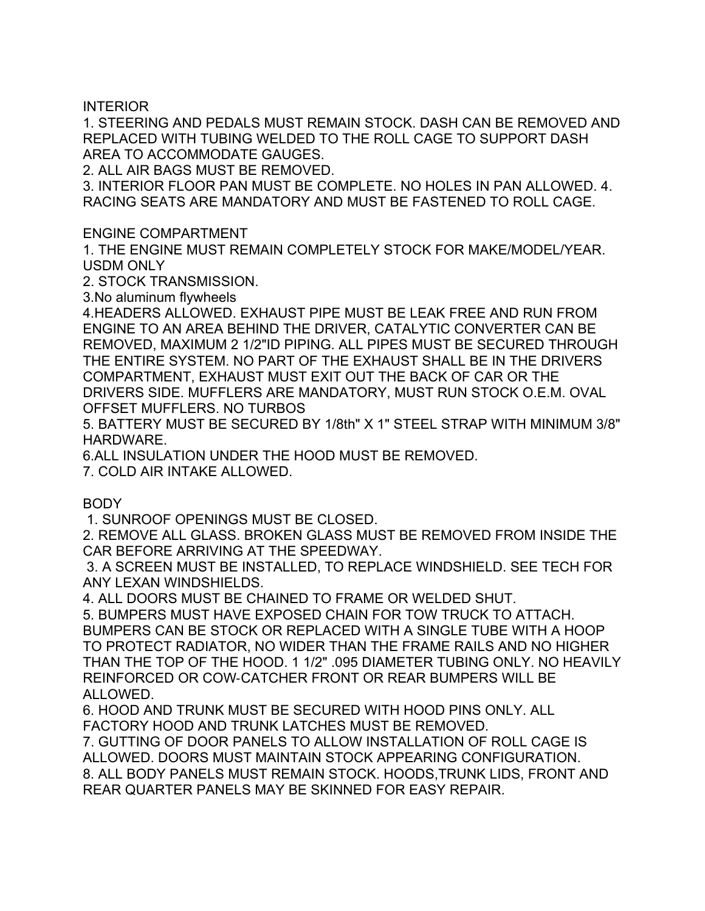INTERIOR

1. STEERING AND PEDALS MUST REMAIN STOCK. DASH CAN BE REMOVED AND REPLACED WITH TUBING WELDED TO THE ROLL CAGE TO SUPPORT DASH AREA TO ACCOMMODATE GAUGES.

2. ALL AIR BAGS MUST BE REMOVED.

3. INTERIOR FLOOR PAN MUST BE COMPLETE. NO HOLES IN PAN ALLOWED. 4. RACING SEATS ARE MANDATORY AND MUST BE FASTENED TO ROLL CAGE.

ENGINE COMPARTMENT

1. THE ENGINE MUST REMAIN COMPLETELY STOCK FOR MAKE/MODEL/YEAR. USDM ONLY

2. STOCK TRANSMISSION.

3.No aluminum flywheels

4.HEADERS ALLOWED. EXHAUST PIPE MUST BE LEAK FREE AND RUN FROM ENGINE TO AN AREA BEHIND THE DRIVER, CATALYTIC CONVERTER CAN BE REMOVED, MAXIMUM 2 1/2"ID PIPING. ALL PIPES MUST BE SECURED THROUGH THE ENTIRE SYSTEM. NO PART OF THE EXHAUST SHALL BE IN THE DRIVERS COMPARTMENT, EXHAUST MUST EXIT OUT THE BACK OF CAR OR THE DRIVERS SIDE. MUFFLERS ARE MANDATORY, MUST RUN STOCK O.E.M. OVAL OFFSET MUFFLERS. NO TURBOS

5. BATTERY MUST BE SECURED BY 1/8th" X 1" STEEL STRAP WITH MINIMUM 3/8" HARDWARE.

6.ALL INSULATION UNDER THE HOOD MUST BE REMOVED.

7. COLD AIR INTAKE ALLOWED.

BODY

1. SUNROOF OPENINGS MUST BE CLOSED.

2. REMOVE ALL GLASS. BROKEN GLASS MUST BE REMOVED FROM INSIDE THE CAR BEFORE ARRIVING AT THE SPEEDWAY.

 3. A SCREEN MUST BE INSTALLED, TO REPLACE WINDSHIELD. SEE TECH FOR ANY LEXAN WINDSHIELDS.

4. ALL DOORS MUST BE CHAINED TO FRAME OR WELDED SHUT.

5. BUMPERS MUST HAVE EXPOSED CHAIN FOR TOW TRUCK TO ATTACH. BUMPERS CAN BE STOCK OR REPLACED WITH A SINGLE TUBE WITH A HOOP TO PROTECT RADIATOR, NO WIDER THAN THE FRAME RAILS AND NO HIGHER THAN THE TOP OF THE HOOD. 1 1/2" .095 DIAMETER TUBING ONLY. NO HEAVILY REINFORCED OR COW-CATCHER FRONT OR REAR BUMPERS WILL BE ALLOWED.

6. HOOD AND TRUNK MUST BE SECURED WITH HOOD PINS ONLY. ALL FACTORY HOOD AND TRUNK LATCHES MUST BE REMOVED.

7. GUTTING OF DOOR PANELS TO ALLOW INSTALLATION OF ROLL CAGE IS ALLOWED. DOORS MUST MAINTAIN STOCK APPEARING CONFIGURATION. 8. ALL BODY PANELS MUST REMAIN STOCK. HOODS,TRUNK LIDS, FRONT AND REAR QUARTER PANELS MAY BE SKINNED FOR EASY REPAIR.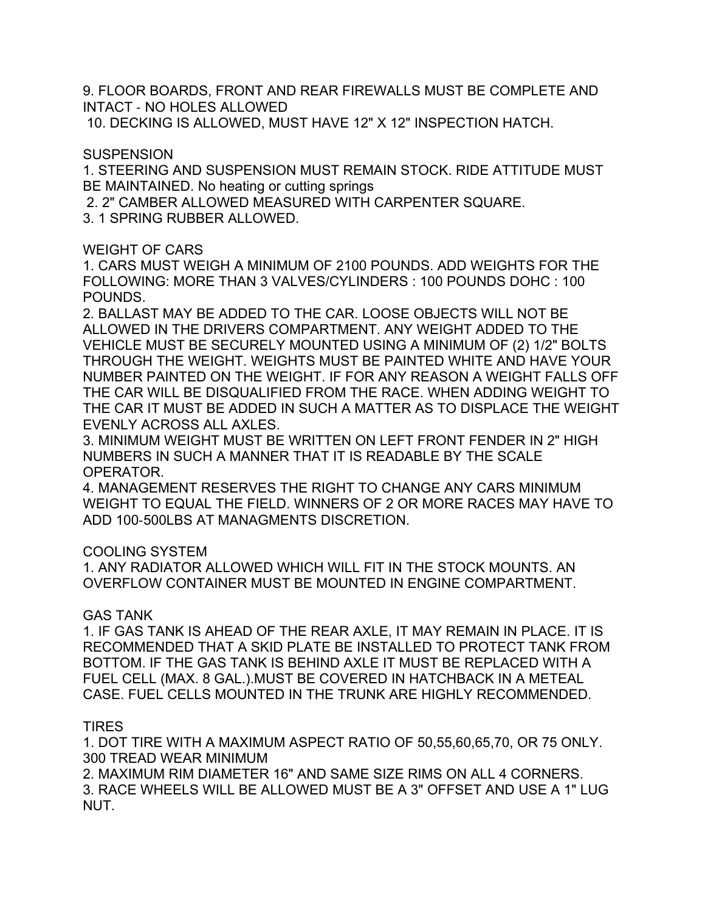9. FLOOR BOARDS, FRONT AND REAR FIREWALLS MUST BE COMPLETE AND INTACT - NO HOLES ALLOWED

10. DECKING IS ALLOWED, MUST HAVE 12" X 12" INSPECTION HATCH.

### **SUSPENSION**

1. STEERING AND SUSPENSION MUST REMAIN STOCK. RIDE ATTITUDE MUST BE MAINTAINED. No heating or cutting springs

2. 2" CAMBER ALLOWED MEASURED WITH CARPENTER SQUARE.

3. 1 SPRING RUBBER ALLOWED.

## WEIGHT OF CARS

1. CARS MUST WEIGH A MINIMUM OF 2100 POUNDS. ADD WEIGHTS FOR THE FOLLOWING: MORE THAN 3 VALVES/CYLINDERS : 100 POUNDS DOHC : 100 POUNDS.

2. BALLAST MAY BE ADDED TO THE CAR. LOOSE OBJECTS WILL NOT BE ALLOWED IN THE DRIVERS COMPARTMENT. ANY WEIGHT ADDED TO THE VEHICLE MUST BE SECURELY MOUNTED USING A MINIMUM OF (2) 1/2" BOLTS THROUGH THE WEIGHT. WEIGHTS MUST BE PAINTED WHITE AND HAVE YOUR NUMBER PAINTED ON THE WEIGHT. IF FOR ANY REASON A WEIGHT FALLS OFF THE CAR WILL BE DISQUALIFIED FROM THE RACE. WHEN ADDING WEIGHT TO THE CAR IT MUST BE ADDED IN SUCH A MATTER AS TO DISPLACE THE WEIGHT EVENLY ACROSS ALL AXLES.

3. MINIMUM WEIGHT MUST BE WRITTEN ON LEFT FRONT FENDER IN 2" HIGH NUMBERS IN SUCH A MANNER THAT IT IS READABLE BY THE SCALE OPERATOR.

4. MANAGEMENT RESERVES THE RIGHT TO CHANGE ANY CARS MINIMUM WEIGHT TO EQUAL THE FIELD. WINNERS OF 2 OR MORE RACES MAY HAVE TO ADD 100-500LBS AT MANAGMENTS DISCRETION.

# COOLING SYSTEM

1. ANY RADIATOR ALLOWED WHICH WILL FIT IN THE STOCK MOUNTS. AN OVERFLOW CONTAINER MUST BE MOUNTED IN ENGINE COMPARTMENT.

# GAS TANK

1. IF GAS TANK IS AHEAD OF THE REAR AXLE, IT MAY REMAIN IN PLACE. IT IS RECOMMENDED THAT A SKID PLATE BE INSTALLED TO PROTECT TANK FROM BOTTOM. IF THE GAS TANK IS BEHIND AXLE IT MUST BE REPLACED WITH A FUEL CELL (MAX. 8 GAL.).MUST BE COVERED IN HATCHBACK IN A METEAL CASE. FUEL CELLS MOUNTED IN THE TRUNK ARE HIGHLY RECOMMENDED.

# TIRES

1. DOT TIRE WITH A MAXIMUM ASPECT RATIO OF 50,55,60,65,70, OR 75 ONLY. 300 TREAD WEAR MINIMUM

2. MAXIMUM RIM DIAMETER 16" AND SAME SIZE RIMS ON ALL 4 CORNERS. 3. RACE WHEELS WILL BE ALLOWED MUST BE A 3" OFFSET AND USE A 1" LUG NUT.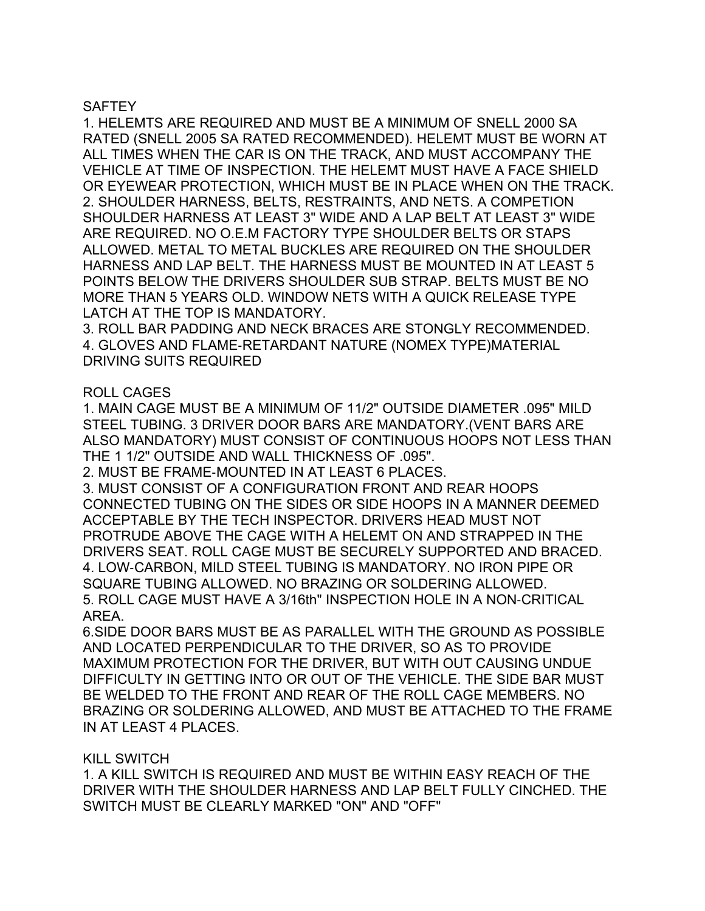### **SAFTEY**

1. HELEMTS ARE REQUIRED AND MUST BE A MINIMUM OF SNELL 2000 SA RATED (SNELL 2005 SA RATED RECOMMENDED). HELEMT MUST BE WORN AT ALL TIMES WHEN THE CAR IS ON THE TRACK, AND MUST ACCOMPANY THE VEHICLE AT TIME OF INSPECTION. THE HELEMT MUST HAVE A FACE SHIELD OR EYEWEAR PROTECTION, WHICH MUST BE IN PLACE WHEN ON THE TRACK. 2. SHOULDER HARNESS, BELTS, RESTRAINTS, AND NETS. A COMPETION SHOULDER HARNESS AT LEAST 3" WIDE AND A LAP BELT AT LEAST 3" WIDE ARE REQUIRED. NO O.E.M FACTORY TYPE SHOULDER BELTS OR STAPS ALLOWED. METAL TO METAL BUCKLES ARE REQUIRED ON THE SHOULDER HARNESS AND LAP BELT. THE HARNESS MUST BE MOUNTED IN AT LEAST 5 POINTS BELOW THE DRIVERS SHOULDER SUB STRAP. BELTS MUST BE NO MORE THAN 5 YEARS OLD. WINDOW NETS WITH A QUICK RELEASE TYPE LATCH AT THE TOP IS MANDATORY.

3. ROLL BAR PADDING AND NECK BRACES ARE STONGLY RECOMMENDED. 4. GLOVES AND FLAME-RETARDANT NATURE (NOMEX TYPE)MATERIAL DRIVING SUITS REQUIRED

#### ROLL CAGES

1. MAIN CAGE MUST BE A MINIMUM OF 11/2" OUTSIDE DIAMETER .095" MILD STEEL TUBING. 3 DRIVER DOOR BARS ARE MANDATORY.(VENT BARS ARE ALSO MANDATORY) MUST CONSIST OF CONTINUOUS HOOPS NOT LESS THAN THE 1 1/2" OUTSIDE AND WALL THICKNESS OF .095".

2. MUST BE FRAME-MOUNTED IN AT LEAST 6 PLACES.

3. MUST CONSIST OF A CONFIGURATION FRONT AND REAR HOOPS CONNECTED TUBING ON THE SIDES OR SIDE HOOPS IN A MANNER DEEMED ACCEPTABLE BY THE TECH INSPECTOR. DRIVERS HEAD MUST NOT PROTRUDE ABOVE THE CAGE WITH A HELEMT ON AND STRAPPED IN THE DRIVERS SEAT. ROLL CAGE MUST BE SECURELY SUPPORTED AND BRACED. 4. LOW-CARBON, MILD STEEL TUBING IS MANDATORY. NO IRON PIPE OR SQUARE TUBING ALLOWED. NO BRAZING OR SOLDERING ALLOWED. 5. ROLL CAGE MUST HAVE A 3/16th" INSPECTION HOLE IN A NON-CRITICAL AREA.

6.SIDE DOOR BARS MUST BE AS PARALLEL WITH THE GROUND AS POSSIBLE AND LOCATED PERPENDICULAR TO THE DRIVER, SO AS TO PROVIDE MAXIMUM PROTECTION FOR THE DRIVER, BUT WITH OUT CAUSING UNDUE DIFFICULTY IN GETTING INTO OR OUT OF THE VEHICLE. THE SIDE BAR MUST BE WELDED TO THE FRONT AND REAR OF THE ROLL CAGE MEMBERS. NO BRAZING OR SOLDERING ALLOWED, AND MUST BE ATTACHED TO THE FRAME IN AT LEAST 4 PLACES.

#### KILL SWITCH

1. A KILL SWITCH IS REQUIRED AND MUST BE WITHIN EASY REACH OF THE DRIVER WITH THE SHOULDER HARNESS AND LAP BELT FULLY CINCHED. THE SWITCH MUST BE CLEARLY MARKED "ON" AND "OFF"